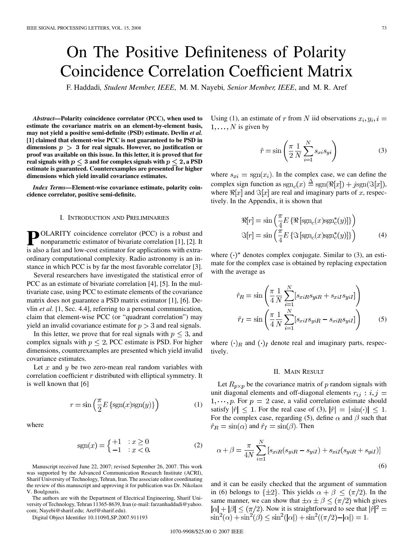# On The Positive Definiteness of Polarity Coincidence Correlation Coefficient Matrix

F. Haddadi*, Student Member, IEEE*, M. M. Nayebi*, Senior Member, IEEE*, and M. R. Aref

*Abstract—***Polarity coincidence correlator (PCC), when used to estimate the covariance matrix on an element-by-element basis, may not yield a positive semi-definite (PSD) estimate. Devlin** *et al.* **[1] claimed that element-wise PCC is not guaranteed to be PSD in** dimensions  $p > 3$  for real signals. However, no justification or **proof was available on this issue. In this letter, it is proved that for real signals with**  $p \leq 3$  and for complex signals with  $p \leq 2$ , a PSD **estimate is guaranteed. Counterexamples are presented for higher dimensions which yield invalid covariance estimates.**

*Index Terms—***Element-wise covariance estimate, polarity coincidence correlator, positive semi-definite.**

## I. INTRODUCTION AND PRELIMINARIES

**P** OLARITY coincidence correlator (PCC) is a robust and nonparametric estimator of bivariate correlation [1], [2]. It is also a fast and low-cost estimator for applications with extraordinary computational complexity. Radio astronomy is an instance in which PCC is by far the most favorable correlator [3].

Several researchers have investigated the statistical error of PCC as an estimate of bivariate correlation [4], [5]. In the multivariate case, using PCC to estimate elements of the covariance matrix does not guarantee a PSD matrix estimator [1], [6]. Devlin *et al.* [1, Sec. 4.4], referring to a personal communication, claim that element-wise PCC (or "quadrant correlation") may yield an invalid covariance estimate for  $p > 3$  and real signals.

In this letter, we prove that for real signals with  $p \leq 3$ , and complex signals with  $p \leq 2$ , PCC estimate is PSD. For higher dimensions, counterexamples are presented which yield invalid covariance estimates.

Let  $x$  and  $y$  be two zero-mean real random variables with correlation coefficient  $r$  distributed with elliptical symmetry. It is well known that [6]

$$
r = \sin\left(\frac{\pi}{2}E\left\{\text{sgn}(x)\text{sgn}(y)\right\}\right) \tag{1}
$$

where

$$
sgn(x) = \begin{cases} +1 & \text{: } x \ge 0 \\ -1 & \text{: } x < 0. \end{cases}
$$
 (2)

Manuscript received June 22, 2007; revised September 26, 2007. This work was supported by the Advanced Communication Research Institute (ACRI), Sharif University of Technology, Tehran, Iran. The associate editor coordinating the review of this manuscript and approving it for publication was Dr. Nikolaos V. Boulgouris.

The authors are with the Department of Electrical Engineering, Sharif University of Technology, Tehran 11365-8639, Iran (e-mail: farzanhaddadi@yahoo. com; Nayebi@sharif.edu; Aref@sharif.edu).

Digital Object Identifier 10.1109/LSP.2007.911193

Using (1), an estimate of r from N iid observations  $x_i, y_i, i =$  $1, \ldots, N$  is given by

$$
\hat{r} = \sin\left(\frac{\pi}{2}\frac{1}{N}\sum_{i=1}^{N} s_{xi} s_{yi}\right)
$$
\n(3)

where  $s_{xi} = \text{sgn}(x_i)$ . In the complex case, we can define the complex sign function as  $sgn_c(x) \triangleq sgn(\Re[x]) + jsgn(\Im[x]),$ where  $\Re[x]$  and  $\Im[x]$  are real and imaginary parts of x, respectively. In the Appendix, it is shown that

$$
\mathcal{R}[r] = \sin\left(\frac{\pi}{4}E\left\{\mathcal{R}\left[\text{sgn}_c(x)\text{sgn}_c^*(y)\right]\right\}\right)
$$

$$
\mathcal{S}[r] = \sin\left(\frac{\pi}{4}E\left\{\mathcal{S}\left[\text{sgn}_c(x)\text{sgn}_c^*(y)\right]\right\}\right)
$$
(4)

where  $(\cdot)^*$  denotes complex conjugate. Similar to (3), an estimate for the complex case is obtained by replacing expectation with the average as

$$
\hat{r}_R = \sin\left(\frac{\pi}{4} \frac{1}{N} \sum_{i=1}^N [s_{xiR} s_{yiR} + s_{xiI} s_{yiI}] \right)
$$

$$
\hat{r}_I = \sin\left(\frac{\pi}{4} \frac{1}{N} \sum_{i=1}^N [s_{xiI} s_{yiR} - s_{xiR} s_{yiI}] \right)
$$
(5)

where  $\left(\cdot\right)_R$  and  $\left(\cdot\right)_I$  denote real and imaginary parts, respectively.

### II. MAIN RESULT

Let  $R_{p\times p}$  be the covariance matrix of p random signals with unit diagonal elements and off-diagonal elements  $r_{ij}$ :  $i, j =$  $1, \dots, p$ . For  $p = 2$  case, a valid correlation estimate should satisfy  $|\hat{r}| \leq 1$ . For the real case of (3),  $|\hat{r}| = |\sin(\cdot)| \leq 1$ . For the complex case, regarding (5), define  $\alpha$  and  $\beta$  such that  $\hat{r}_R = \sin(\alpha)$  and  $\hat{r}_I = \sin(\beta)$ . Then

$$
\alpha + \beta = \frac{\pi}{4N} \sum_{i=1}^{N} \left[ s_{xiR} (s_{yiR} - s_{yiI}) + s_{xi} (s_{yiR} + s_{yiI}) \right]
$$
\n
$$
(6)
$$

and it can be easily checked that the argument of summation in (6) belongs to  $\{\pm 2\}$ . This yields  $\alpha + \beta \leq (\pi/2)$ . In the same manner, we can show that  $\pm \alpha \pm \beta \leq (\pi/2)$  which gives  $|\alpha| + |\beta| \leq (\pi/2)$ . Now it is straightforward to see that  $|\hat{r}|^2 =$  $\sin^2(\alpha) + \sin^2(\beta) \leq \sin^2(|\alpha|) + \sin^2((\pi/2) - |\alpha|) = 1.$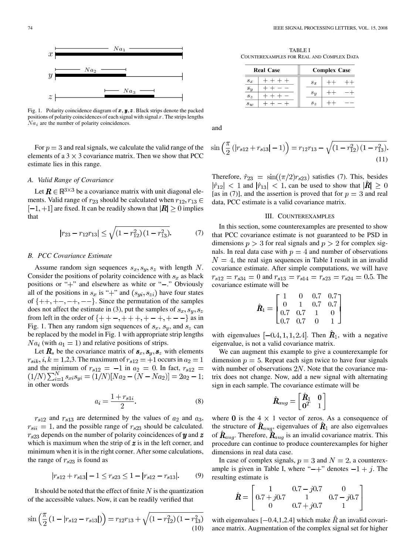

Fig. 1. Polarity coincidence diagram of  $x, y, z$ . Black strips denote the packed positions of polarity coincidences of each signal with signal  $x$ . The strips lengths  $Na<sub>i</sub>$  are the number of polarity coincidences.

For  $p = 3$  and real signals, we calculate the valid range of the elements of a  $3 \times 3$  covariance matrix. Then we show that PCC estimate lies in this range.

# *A. Valid Range of Covariance*

Let  $\mathbf{R} \in \mathbb{R}^{3 \times 3}$  be a covariance matrix with unit diagonal elements. Valid range of  $r_{23}$  should be calculated when  $r_{12}, r_{13} \in$  $[-1, +1]$  are fixed. It can be readily shown that  $|\mathbf{R}| \geq 0$  implies that

$$
|r_{23} - r_{12}r_{13}| \le \sqrt{\left(1 - r_{12}^2\right)\left(1 - r_{13}^2\right)}.\tag{7}
$$

## *B. PCC Covariance Estimate*

Assume random sign sequences  $s_x, s_y, s_z$  with length N. Consider the positions of polarity coincidence with  $s_x$  as black positions or "+" and elsewhere as white or "-." Obviously all of the positions in  $s_x$  is "+" and  $(s_{ui}, s_{zi})$  have four states of  $\{++, +-, -+, --\}$ . Since the permutation of the samples does not affect the estimate in (3), put the samples of  $s_x, s_y, s_z$ from left in the order of  $\{++-,+++,+-+,+--\}$  as in Fig. 1. Then any random sign sequences of  $s_x$ ,  $s_y$ , and  $s_z$  can be replaced by the model in Fig. 1 with appropriate strip lengths  $Na<sub>i</sub>$  (with  $a<sub>1</sub> = 1$ ) and relative positions of strips.

Let  $\mathbf{R}_s$  be the covariance matrix of  $\mathbf{s}_x, \mathbf{s}_y, \mathbf{s}_z$  with elements  $r_{sik}$ ,  $i, k = 1,2,3$ . The maximum of  $r_{s12} = +1$  occurs in  $a_2 = 1$ and the minimum of  $r_{s12} = -1$  in  $a_2 = 0$ . In fact,  $r_{s12} =$  $(1/N)\sum_{i=1}^{N} s_{xi} s_{yi} = (1/N)[Na_2 - (N - Na_2)] = 2a_2 - 1;$ in other words

$$
a_i = \frac{1 + r_{s1i}}{2}.\tag{8}
$$

 $r_{s12}$  and  $r_{s13}$  are determined by the values of  $a_2$  and  $a_3$ ,  $r_{sii} = 1$ , and the possible range of  $r_{s23}$  should be calculated.  $r_{s23}$  depends on the number of polarity coincidences of  $\boldsymbol{y}$  and  $\boldsymbol{z}$ which is maximum when the strip of  $\boldsymbol{z}$  is in the left corner, and minimum when it is in the right corner. After some calculations, the range of  $r_{s23}$  is found as

$$
|r_{s12} + r_{s13}| - 1 \le r_{s23} \le 1 - |r_{s12} - r_{s13}|. \tag{9}
$$

It should be noted that the effect of finite  $N$  is the quantization of the accessible values. Now, it can be readily verified that

$$
\sin\left(\frac{\pi}{2}\left(1-|r_{s12}-r_{s13}|\right)\right) = r_{12}r_{13} + \sqrt{\left(1-r_{12}^2\right)\left(1-r_{13}^2\right)}\tag{10}
$$

TABLE I COUNTEREXAMPLES FOR REAL AND COMPLEX DATA

| <b>Real Case</b> |  | <b>Complex Case</b> |         |  |  |
|------------------|--|---------------------|---------|--|--|
| $s_x$            |  |                     | $s_{x}$ |  |  |
| $s_{u}$<br>$s_z$ |  |                     | $s_u$   |  |  |
| $s_w$            |  |                     | $s_z$   |  |  |

and

$$
\sin\left(\frac{\pi}{2}\left(|r_{s12}+r_{s13}|-1\right)\right)=r_{12}r_{13}-\sqrt{\left(1-r_{12}^2\right)\left(1-r_{13}^2\right)}.\tag{11}
$$

Therefore,  $\hat{r}_{23} = \sin((\pi/2)r_{s23})$  satisfies (7). This, besides  $|\hat{r}_{12}|$  < 1 and  $|\hat{r}_{13}|$  < 1, can be used to show that  $|\hat{R}| \geq 0$ [as in (7)], and the assertion is proved that for  $p = 3$  and real data, PCC estimate is a valid covariance matrix.

# III. COUNTEREXAMPLES

In this section, some counterexamples are presented to show that PCC covariance estimate is not guaranteed to be PSD in dimensions  $p > 3$  for real signals and  $p > 2$  for complex signals. In real data case with  $p = 4$  and number of observations  $N = 4$ , the real sign sequences in Table I result in an invalid covariance estimate. After simple computations, we will have  $r_{s12} = r_{s34} = 0$  and  $r_{s13} = r_{s14} = r_{s23} = r_{s24} = 0.5$ . The covariance estimate will be

$$
\hat{\boldsymbol{R}}_1 = \begin{bmatrix} 1 & 0 & 0.7 & 0.7 \\ 0 & 1 & 0.7 & 0.7 \\ 0.7 & 0.7 & 1 & 0 \\ 0.7 & 0.7 & 0 & 1 \end{bmatrix}
$$

with eigenvalues  $[-0.4, 1, 1, 2.4]$ . Then  $\hat{R}_1$ , with a negative eigenvalue, is not a valid covariance matrix.

We can augment this example to give a counterexample for dimension  $p = 5$ . Repeat each sign twice to have four signals with number of observations  $2N$ . Note that the covariance matrix does not change. Now, add a new signal with alternating sign in each sample. The covariance estimate will be

$$
\hat{\boldsymbol{R}}_{aug} = \begin{bmatrix} \hat{\boldsymbol{R}}_1 & \boldsymbol{0} \\ \boldsymbol{0}^T & 1 \end{bmatrix}
$$

where 0 is the 4  $\times$  1 vector of zeros. As a consequence of the structure of  $\mathbf{R}_{aug}$ , eigenvalues of  $\mathbf{R}_1$  are also eigenvalues of  $\hat{R}_{aug}$ . Therefore,  $\hat{R}_{aug}$  is an invalid covariance matrix. This procedure can continue to produce counterexamples for higher dimensions in real data case.

In case of complex signals,  $p = 3$  and  $N = 2$ , a counterexample is given in Table I, where " $-$ +" denotes  $-1 + j$ . The resulting estimate is

$$
\hat{\boldsymbol{R}} = \begin{bmatrix} 1 & 0.7 - j0.7 & 0 \\ 0.7 + j0.7 & 1 & 0.7 - j0.7 \\ 0 & 0.7 + j0.7 & 1 \end{bmatrix}
$$

with eigenvalues [-0.4,1,2.4] which make  $\hat{R}$  an invalid covariance matrix. Augmentation of the complex signal set for higher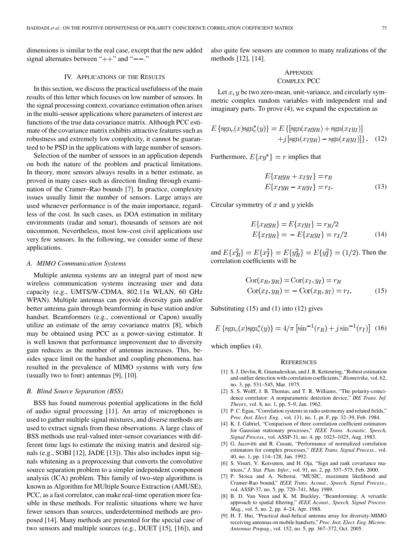dimensions is similar to the real case, except that the new added signal alternates between " $++$ " and " $--$ ."

# IV. APPLICATIONS OF THE RESULTS

In this section, we discuss the practical usefulness of the main results of this letter which focuses on low number of sensors. In the signal processing context, covariance estimation often arises in the multi-sensor applications where parameters of interest are functions of the true data covariance matrix. Although PCC estimate of the covariance matrix exhibits attractive features such as robustness and extremely low complexity, it cannot be guaranteed to be PSD in the applications with large number of sensors.

Selection of the number of sensors in an application depends on both the nature of the problem and practical limitations. In theory, more sensors always results in a better estimate, as proved in many cases such as direction finding through examination of the Cramer–Rao bounds [7]. In practice, complexity issues usually limit the number of sensors. Large arrays are used whenever performance is of the main importance, regardless of the cost. In such cases, as DOA estimation in military environments (radar and sonar), thousands of sensors are not uncommon. Nevertheless, most low-cost civil applications use very few sensors. In the following, we consider some of these applications.

#### *A. MIMO Communication Systems*

Multiple antenna systems are an integral part of most new wireless communication systems increasing user and data capacity (e.g., UMTS/W-CDMA, 802.11n WLAN, 60 GHz WPAN). Multiple antennas can provide diversity gain and/or better antenna gain through beamforming in base station and/or handset. Beamformers (e.g., conventional or Capon) usually utilize an estimate of the array covariance matrix [8], which may be obtained using PCC as a power-saving estimator. It is well known that performance improvement due to diversity gain reduces as the number of antennas increases. This, besides space limit on the handset and coupling phenomena, has resulted in the prevalence of MIMO systems with very few (usually two to four) antennas [9], [10].

# *B. Blind Source Separation (BSS)*

BSS has found numerous potential applications in the field of audio signal processing [11]. An array of microphones is used to gather multiple signal mixtures, and diverse methods are used to extract signals from these observations. A large class of BSS methods use real-valued inter-sensor covariances with different time lags to estimate the mixing matrix and desired signals (e.g., SOBI [12], JADE [13]). This also includes input signals whitening as a preprocessing that converts the convolutive source separation problem to a simpler independent component analysis (ICA) problem. This family of two-step algorithms is known as Algorithm for MUltiple Source Extraction (AMUSE). PCC, as a fast correlator, can make real-time operation more feasible in these methods. For realistic situations where we have fewer sensors than sources, underdetermined methods are proposed [14]. Many methods are presented for the special case of two sensors and multiple sources (e.g., DUET [15], [16]), and

also quite few sensors are common to many realizations of the methods [12], [14].

# **APPENDIX** COMPLEX PCC

Let  $x, y$  be two zero-mean, unit-variance, and circularly symmetric complex random variables with independent real and imaginary parts. To prove (4), we expand the expectation as

$$
E\left\{\text{sgn}_c(x)\text{sgn}_c^*(y)\right\} = E\left\{\left[\text{sgn}(x_Ry_R) + \text{sgn}(x_Iy_I)\right] + j\left[\text{sgn}(x_Iy_R) - \text{sgn}(x_Ry_I)\right]\right\}.
$$
 (12)

Furthermore,  $E\{xy^*\} = r$  implies that

$$
E\{x_Ry_R + x_Iy_I\} = r_R
$$
  
\n
$$
E\{x_Iy_R - x_Ry_I\} = r_I.
$$
 (13)

Circular symmetry of  $x$  and  $y$  yields

$$
E\{x_Ry_R\} = E\{x_Iy_I\} = r_R/2
$$
  

$$
E\{x_Iy_R\} = -E\{x_Ry_I\} = r_I/2
$$
 (14)

and  $E\{x_R^2\} = E\{x_I^2\} = E\{y_R^2\} = E\{y_I^2\} = (1/2)$ . Then the correlation coefficients will be

$$
Cor(xR, yR) = Cor(xI, yI) = rR
$$
  

$$
Cor(xI, yR) = - Cor(xR, yI) = rI.
$$
 (15)

Substituting (15) and (1) into (12) gives

$$
E\left\{\text{sgn}_{c}(x)\text{sgn}_{c}^{*}(y)\right\} = 4/\pi\left[\text{sin}^{-1}(r_{R}) + j\text{sin}^{-1}(r_{I})\right]
$$
(16)

which implies (4).

## **REFERENCES**

- [1] S. J. Devlin, R. Gnanadesikan, and J. R. Kettenring, "Robust estimation and outlier detection with correlation coefficients," *Biometrika*, vol. 62, no. 3, pp. 531–545, Mar. 1975.
- [2] S. S. Wolff, J. B. Thomas, and T. R. Williams, "The polarity-coincidence correlator: A nonparametric detection device," *IRE Trans. Inf. Theory*, vol. 8, no. 1, pp. 5–9, Jan. 1962.
- [3] P. C. Egau, "Correlation systems in radio astronomy and related fields," *Proc. Inst. Elect. Eng.* , vol. 131, no. 1, pt. F, pp. 32–39, Feb. 1984.
- [4] K. J. Gabriel, "Comparison of three correlation coefficient estimators for Gaussian stationary processes," *IEEE Trans. Acoustic, Speech, Signal Process.*, vol. ASSP-31, no. 4, pp. 1023–1025, Aug. 1983.
- [5] G. Jacovitti and R. Cusani, "Performance of normalized correlation estimators for complex processes," *IEEE Trans. Signal Process.*, vol. 40, no. 1, pp. 114–128, Jan. 1992.
- [6] S. Visuri, V. Koivunen, and H. Oja, "Sign and rank covariance matrices," *J. Stat. Plan. Infer.*, vol. 91, no. 2, pp. 557–575, Feb. 2000.
- [7] P. Stoica and A. Nehorai, "MUSIC, maximum likelihood and Cramer-Rao bound," *IEEE Trans. Acoust., Speech, Signal Process.*, vol. ASSP-37, no. 5, pp. 720–741, May 1989.
- [8] B. D. Van Veen and K. M. Buckley, "Beamforming: A versatile approach to spatial filtering," *IEEE Acoust., Speech, Signal Process. Mag.*, vol. 5, no. 2, pp. 4–24, Apr. 1988.
- [9] H. T. Hui, "Practical dual-helical antenna array for diversity-MIMO receiving antennas on mobile handsets," *Proc. Inst. Elect. Eng. Microw. Antennas Propag.*, vol. 152, no. 5, pp. 367–372, Oct. 2005.